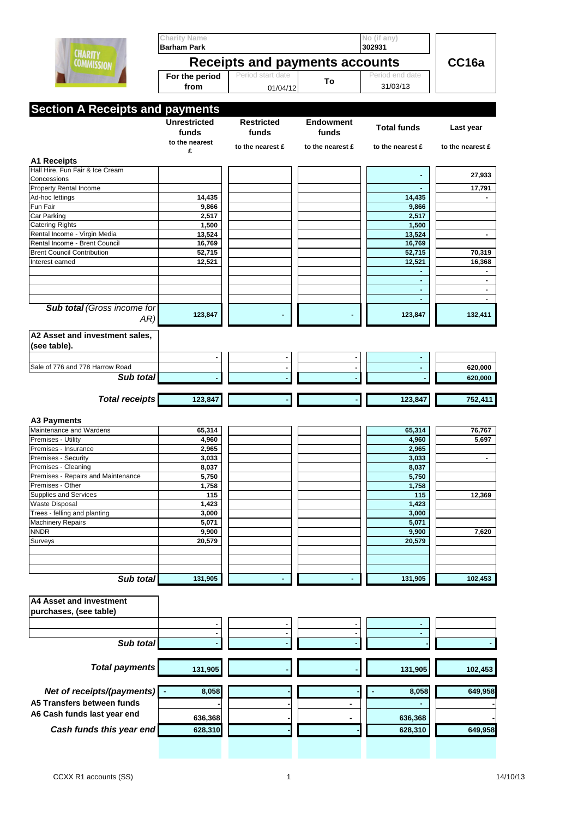|                                                          | <b>Charity Name</b>                                         |                               |                           | No (if any)                 |                  |  |  |
|----------------------------------------------------------|-------------------------------------------------------------|-------------------------------|---------------------------|-----------------------------|------------------|--|--|
| <b>CHARITY</b><br><b>COMMISSION</b>                      | <b>Barham Park</b><br><b>Receipts and payments accounts</b> |                               |                           | 302931<br>CC16a             |                  |  |  |
|                                                          | For the period<br>from                                      | Period start date<br>01/04/12 | To                        | Period end date<br>31/03/13 |                  |  |  |
|                                                          |                                                             |                               |                           |                             |                  |  |  |
| <b>Section A Receipts and payments</b>                   |                                                             |                               |                           |                             |                  |  |  |
|                                                          | <b>Unrestricted</b><br>funds<br>to the nearest              | <b>Restricted</b><br>funds    | <b>Endowment</b><br>funds | <b>Total funds</b>          | Last year        |  |  |
|                                                          | £                                                           | to the nearest £              | to the nearest £          | to the nearest £            | to the nearest £ |  |  |
| <b>A1 Receipts</b><br>Hall Hire, Fun Fair & Ice Cream    |                                                             |                               |                           |                             |                  |  |  |
| Concessions                                              |                                                             |                               |                           |                             | 27,933           |  |  |
| <b>Property Rental Income</b>                            |                                                             |                               |                           |                             | 17,791           |  |  |
| Ad-hoc lettings                                          | 14,435                                                      |                               |                           | 14,435                      |                  |  |  |
| Fun Fair<br>Car Parking                                  | 9,866<br>2,517                                              |                               |                           | 9,866<br>2,517              |                  |  |  |
| <b>Catering Rights</b>                                   | 1,500                                                       |                               |                           | 1,500                       |                  |  |  |
| Rental Income - Virgin Media                             | 13,524                                                      |                               |                           | 13,524                      | $\blacksquare$   |  |  |
| Rental Income - Brent Council                            | 16,769                                                      |                               |                           | 16,769                      |                  |  |  |
| <b>Brent Council Contribution</b>                        | 52,715                                                      |                               |                           | 52,715                      | 70,319           |  |  |
| Interest earned                                          | 12,521                                                      |                               |                           | 12,521                      | 16,368           |  |  |
|                                                          |                                                             |                               |                           |                             |                  |  |  |
|                                                          |                                                             |                               |                           |                             | $\blacksquare$   |  |  |
|                                                          |                                                             |                               |                           |                             |                  |  |  |
| <b>Sub total (Gross income for</b><br>AR)                | 123,847                                                     |                               |                           | 123,847                     | 132,411          |  |  |
| A2 Asset and investment sales,<br>(see table).           |                                                             |                               |                           |                             |                  |  |  |
|                                                          |                                                             |                               |                           |                             |                  |  |  |
| Sale of 776 and 778 Harrow Road                          |                                                             |                               |                           |                             | 620,000          |  |  |
| Sub total                                                |                                                             |                               |                           |                             | 620,000          |  |  |
| <b>Total receipts</b>                                    |                                                             |                               |                           |                             |                  |  |  |
|                                                          | 123,847                                                     |                               |                           | 123,847                     | 752,411          |  |  |
|                                                          |                                                             |                               |                           |                             |                  |  |  |
| <b>A3 Payments</b>                                       |                                                             |                               |                           |                             |                  |  |  |
| Maintenance and Wardens<br>Premises - Utility            | 65,314<br>4,960                                             |                               |                           | 65,314<br>4,960             | 76,767<br>5,697  |  |  |
| Premises - Insurance                                     | 2,965                                                       |                               |                           | 2,965                       |                  |  |  |
| Premises - Security                                      | 3,033                                                       |                               |                           | 3,033                       |                  |  |  |
| Premises - Cleaning                                      | 8,037                                                       |                               |                           | 8,037                       |                  |  |  |
| Premises - Repairs and Maintenance                       | 5,750                                                       |                               |                           | 5,750                       |                  |  |  |
| Premises - Other                                         | 1,758                                                       |                               |                           | 1,758                       |                  |  |  |
| <b>Supplies and Services</b>                             | 115                                                         |                               |                           | 115                         | 12,369           |  |  |
| <b>Waste Disposal</b><br>Trees - felling and planting    | 1,423<br>3,000                                              |                               |                           | 1,423<br>3,000              |                  |  |  |
| <b>Machinery Repairs</b>                                 | 5,071                                                       |                               |                           | 5,071                       |                  |  |  |
| <b>NNDR</b>                                              | 9,900                                                       |                               |                           | 9,900                       | 7,620            |  |  |
| Surveys                                                  | 20,579                                                      |                               |                           | 20,579                      |                  |  |  |
|                                                          |                                                             |                               |                           |                             |                  |  |  |
|                                                          |                                                             |                               |                           |                             |                  |  |  |
| Sub total                                                | 131,905                                                     |                               |                           | 131,905                     | 102,453          |  |  |
| <b>A4 Asset and investment</b><br>purchases, (see table) |                                                             |                               |                           |                             |                  |  |  |
|                                                          |                                                             |                               |                           |                             |                  |  |  |
|                                                          |                                                             |                               |                           |                             |                  |  |  |
| Sub total                                                |                                                             |                               |                           |                             |                  |  |  |
| <b>Total payments</b>                                    | 131,905                                                     |                               |                           | 131,905                     | 102,453          |  |  |
|                                                          |                                                             |                               |                           |                             |                  |  |  |
| Net of receipts/(payments) -                             | 8,058                                                       |                               |                           | 8,058                       | 649,958          |  |  |
| A5 Transfers between funds                               |                                                             |                               | $\blacksquare$            |                             |                  |  |  |
| A6 Cash funds last year end                              | 636,368                                                     |                               |                           | 636,368                     |                  |  |  |
| Cash funds this year end                                 | 628,310                                                     |                               |                           | 628,310                     | 649,958          |  |  |